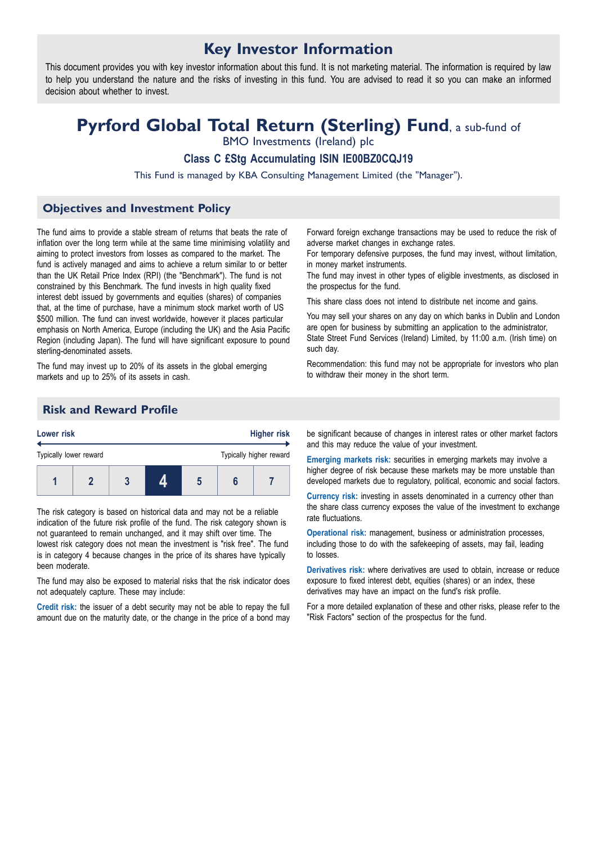## **Key Investor Information**

This document provides you with key investor information about this fund. It is not marketing material. The information is required by law to help you understand the nature and the risks of investing in this fund. You are advised to read it so you can make an informed decision about whether to invest.

# **Pyrford Global Total Return (Sterling) Fund**, <sup>a</sup> sub-fund of

BMO Investments (Ireland) plc

**Class C £Stg Accumulating ISIN IE00BZ0CQJ19**

This Fund is managed by KBA Consulting Management Limited (the "Manager").

## **Objectives and Investment Policy**

The fund aims to provide a stable stream of returns that beats the rate of inflation over the long term while at the same time minimising volatility and aiming to protect investors from losses as compared to the market. The fund is actively managed and aims to achieve a return similar to or better than the UK Retail Price Index (RPI) (the "Benchmark"). The fund is not constrained by this Benchmark. The fund invests in high quality fixed interest debt issued by governments and equities (shares) of companies that, at the time of purchase, have a minimum stock market worth of US \$500 million. The fund can invest worldwide, however it places particular emphasis on North America, Europe (including the UK) and the Asia Pacific Region (including Japan). The fund will have significant exposure to pound sterling-denominated assets.

The fund may invest up to 20% of its assets in the global emerging markets and up to 25% of its assets in cash.

Forward foreign exchange transactions may be used to reduce the risk of adverse market changes in exchange rates.

For temporary defensive purposes, the fund may invest, without limitation, in money market instruments.

The fund may invest in other types of eligible investments, as disclosed in the prospectus for the fund.

This share class does not intend to distribute net income and gains.

You may sell your shares on any day on which banks in Dublin and London are open for business by submitting an application to the administrator, State Street Fund Services (Ireland) Limited, by 11:00 a.m. (Irish time) on such day.

Recommendation: this fund may not be appropriate for investors who plan to withdraw their money in the short term.

## **Risk and Reward Profile**



The risk category is based on historical data and may not be a reliable indication of the future risk profile of the fund. The risk category shown is not guaranteed to remain unchanged, and it may shift over time. The lowest risk category does not mean the investment is "risk free". The fund is in category 4 because changes in the price of its shares have typically been moderate.

The fund may also be exposed to material risks that the risk indicator does not adequately capture. These may include:

**Credit risk:** the issuer of a debt security may not be able to repay the full amount due on the maturity date, or the change in the price of a bond may be significant because of changes in interest rates or other market factors and this may reduce the value of your investment.

**Emerging markets risk:** securities in emerging markets may involve a higher degree of risk because these markets may be more unstable than developed markets due to regulatory, political, economic and social factors.

**Currency risk:** investing in assets denominated in a currency other than the share class currency exposes the value of the investment to exchange rate fluctuations.

**Operational risk:** management, business or administration processes, including those to do with the safekeeping of assets, may fail, leading to losses.

**Derivatives risk:** where derivatives are used to obtain, increase or reduce exposure to fixed interest debt, equities (shares) or an index, these derivatives may have an impact on the fund's risk profile.

For a more detailed explanation of these and other risks, please refer to the "Risk Factors" section of the prospectus for the fund.